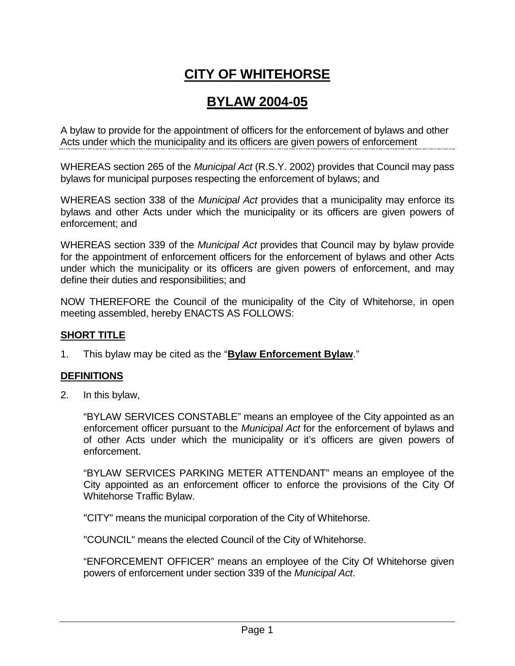# **CITY OF WHITEHORSE**

## **BYLAW 2004-05**

A bylaw to provide for the appointment of officers for the enforcement of bylaws and other Acts under which the municipality and its officers are given powers of enforcement

WHEREAS section 265 of the *Municipal Act* (R.S.Y. 2002) provides that Council may pass bylaws for municipal purposes respecting the enforcement of bylaws; and

WHEREAS section 338 of the *Municipal Act* provides that a municipality may enforce its bylaws and other Acts under which the municipality or its officers are given powers of enforcement; and

WHEREAS section 339 of the *Municipal Act* provides that Council may by bylaw provide for the appointment of enforcement officers for the enforcement of bylaws and other Acts under which the municipality or its officers are given powers of enforcement, and may define their duties and responsibilities; and

NOW THEREFORE the Council of the municipality of the City of Whitehorse, in open meeting assembled, hereby ENACTS AS FOLLOWS:

#### **SHORT TITLE**

1. This bylaw may be cited as the "**Bylaw Enforcement Bylaw**."

#### **DEFINITIONS**

2. In this bylaw,

"BYLAW SERVICES CONSTABLE" means an employee of the City appointed as an enforcement officer pursuant to the *Municipal Act* for the enforcement of bylaws and of other Acts under which the municipality or it's officers are given powers of enforcement.

"BYLAW SERVICES PARKING METER ATTENDANT" means an employee of the City appointed as an enforcement officer to enforce the provisions of the City Of Whitehorse Traffic Bylaw.

"CITY" means the municipal corporation of the City of Whitehorse.

"COUNCIL" means the elected Council of the City of Whitehorse.

"ENFORCEMENT OFFICER" means an employee of the City Of Whitehorse given powers of enforcement under section 339 of the *Municipal Act*.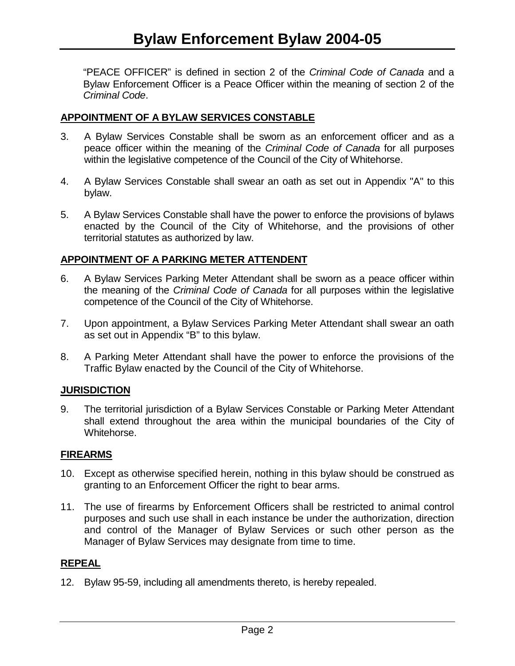"PEACE OFFICER" is defined in section 2 of the *Criminal Code of Canada* and a Bylaw Enforcement Officer is a Peace Officer within the meaning of section 2 of the *Criminal Code*.

#### **APPOINTMENT OF A BYLAW SERVICES CONSTABLE**

- 3. A Bylaw Services Constable shall be sworn as an enforcement officer and as a peace officer within the meaning of the *Criminal Code of Canada* for all purposes within the legislative competence of the Council of the City of Whitehorse.
- 4. A Bylaw Services Constable shall swear an oath as set out in Appendix "A" to this bylaw.
- 5. A Bylaw Services Constable shall have the power to enforce the provisions of bylaws enacted by the Council of the City of Whitehorse, and the provisions of other territorial statutes as authorized by law.

#### **APPOINTMENT OF A PARKING METER ATTENDENT**

- 6. A Bylaw Services Parking Meter Attendant shall be sworn as a peace officer within the meaning of the *Criminal Code of Canada* for all purposes within the legislative competence of the Council of the City of Whitehorse.
- 7. Upon appointment, a Bylaw Services Parking Meter Attendant shall swear an oath as set out in Appendix "B" to this bylaw.
- 8. A Parking Meter Attendant shall have the power to enforce the provisions of the Traffic Bylaw enacted by the Council of the City of Whitehorse.

#### **JURISDICTION**

9. The territorial jurisdiction of a Bylaw Services Constable or Parking Meter Attendant shall extend throughout the area within the municipal boundaries of the City of Whitehorse.

#### **FIREARMS**

- 10. Except as otherwise specified herein, nothing in this bylaw should be construed as granting to an Enforcement Officer the right to bear arms.
- 11. The use of firearms by Enforcement Officers shall be restricted to animal control purposes and such use shall in each instance be under the authorization, direction and control of the Manager of Bylaw Services or such other person as the Manager of Bylaw Services may designate from time to time.

#### **REPEAL**

12. Bylaw 95-59, including all amendments thereto, is hereby repealed.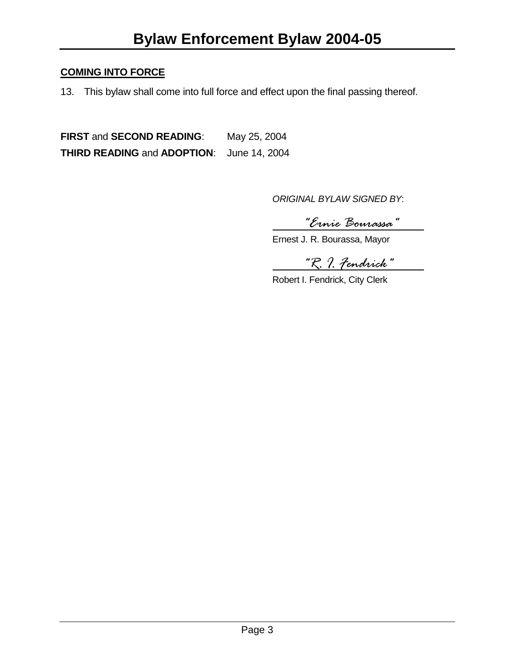#### **COMING INTO FORCE**

13. This bylaw shall come into full force and effect upon the final passing thereof.

**FIRST** and **SECOND READING**: May 25, 2004 **THIRD READING** and **ADOPTION**: June 14, 2004

*ORIGINAL BYLAW SIGNED BY*:

*"Ernie Bourassa"*

Ernest J. R. Bourassa, Mayor

*"R. I. Fendrick"*

Robert I. Fendrick, City Clerk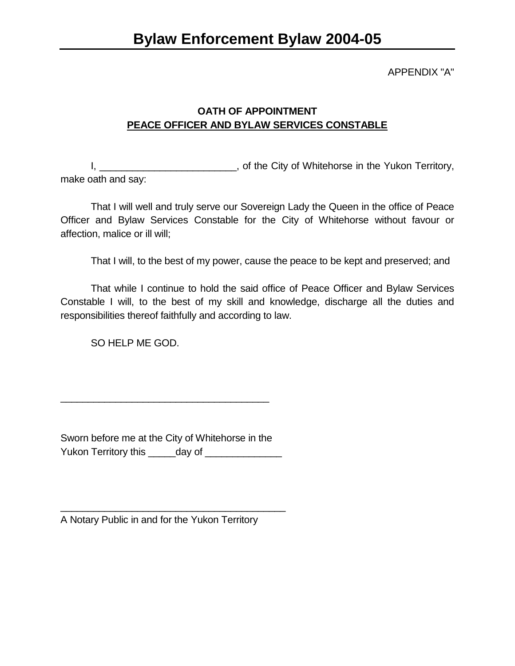#### APPENDIX "A"

### **OATH OF APPOINTMENT PEACE OFFICER AND BYLAW SERVICES CONSTABLE**

I,  $\frac{1}{2}$  and  $\frac{1}{2}$  of the City of Whitehorse in the Yukon Territory, make oath and say:

That I will well and truly serve our Sovereign Lady the Queen in the office of Peace Officer and Bylaw Services Constable for the City of Whitehorse without favour or affection, malice or ill will;

That I will, to the best of my power, cause the peace to be kept and preserved; and

That while I continue to hold the said office of Peace Officer and Bylaw Services Constable I will, to the best of my skill and knowledge, discharge all the duties and responsibilities thereof faithfully and according to law.

SO HELP ME GOD.

Sworn before me at the City of Whitehorse in the Yukon Territory this \_\_\_\_\_day of \_\_\_\_\_\_\_\_\_\_\_\_\_\_\_\_

\_\_\_\_\_\_\_\_\_\_\_\_\_\_\_\_\_\_\_\_\_\_\_\_\_\_\_\_\_\_\_\_\_\_\_\_\_\_

A Notary Public in and for the Yukon Territory

\_\_\_\_\_\_\_\_\_\_\_\_\_\_\_\_\_\_\_\_\_\_\_\_\_\_\_\_\_\_\_\_\_\_\_\_\_\_\_\_\_